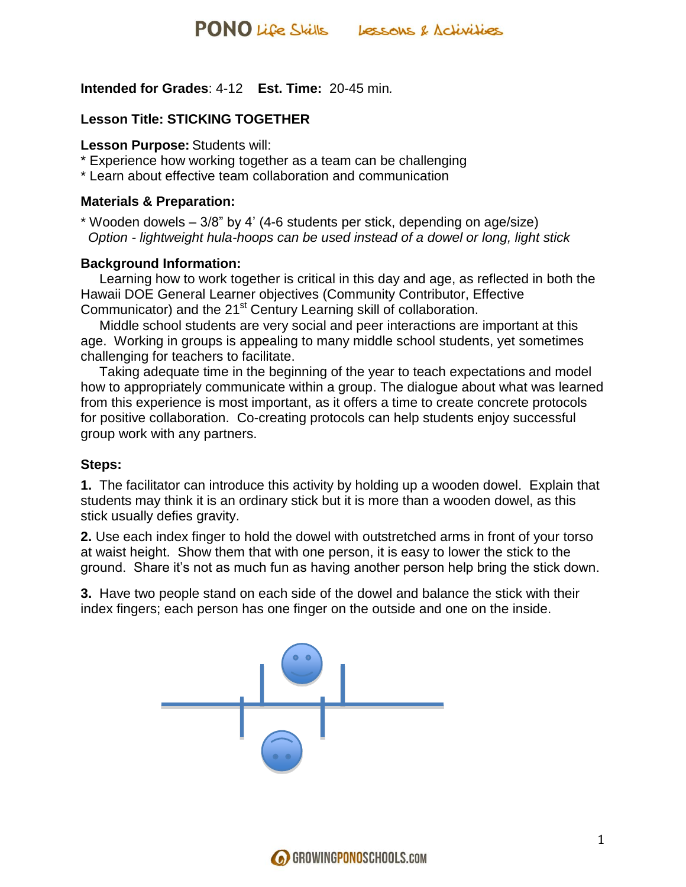## **Intended for Grades**: 4-12 **Est. Time:** 20-45 min*.*

## **Lesson Title: STICKING TOGETHER**

#### **Lesson Purpose:** Students will:

- \* Experience how working together as a team can be challenging
- \* Learn about effective team collaboration and communication

### **Materials & Preparation:**

\* Wooden dowels – 3/8" by 4' (4-6 students per stick, depending on age/size)  *Option - lightweight hula-hoops can be used instead of a dowel or long, light stick*

### **Background Information:**

 Learning how to work together is critical in this day and age, as reflected in both the Hawaii DOE General Learner objectives (Community Contributor, Effective Communicator) and the 21<sup>st</sup> Century Learning skill of collaboration.

 Middle school students are very social and peer interactions are important at this age. Working in groups is appealing to many middle school students, yet sometimes challenging for teachers to facilitate.

 Taking adequate time in the beginning of the year to teach expectations and model how to appropriately communicate within a group. The dialogue about what was learned from this experience is most important, as it offers a time to create concrete protocols for positive collaboration. Co-creating protocols can help students enjoy successful group work with any partners.

### **Steps:**

**1.** The facilitator can introduce this activity by holding up a wooden dowel. Explain that students may think it is an ordinary stick but it is more than a wooden dowel, as this stick usually defies gravity.

**2.** Use each index finger to hold the dowel with outstretched arms in front of your torso at waist height. Show them that with one person, it is easy to lower the stick to the ground. Share it's not as much fun as having another person help bring the stick down.

**3.** Have two people stand on each side of the dowel and balance the stick with their index fingers; each person has one finger on the outside and one on the inside.